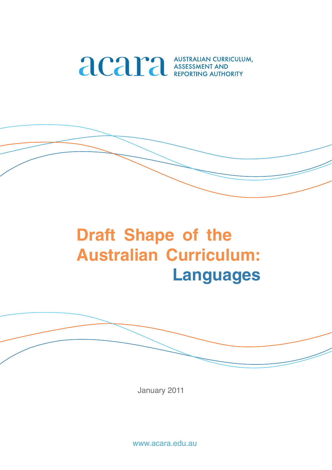

# **Draft Shape of the Australian Curriculum: Languages**

January 2011

www.acara.edu.au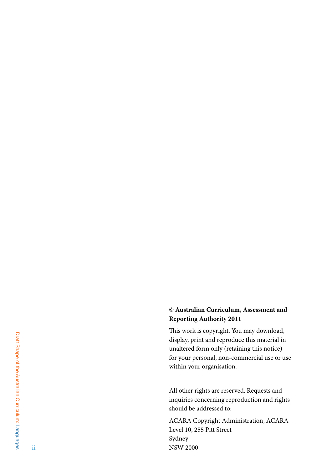### **© Australian Curriculum, Assessment and Reporting Authority 2011**

This work is copyright. You may download, display, print and reproduce this material in unaltered form only (retaining this notice) for your personal, non-commercial use or use within your organisation.

All other rights are reserved. Requests and inquiries concerning reproduction and rights should be addressed to:

ACARA Copyright Administration, ACARA Level 10, 255 Pitt Street Sydney NSW 2000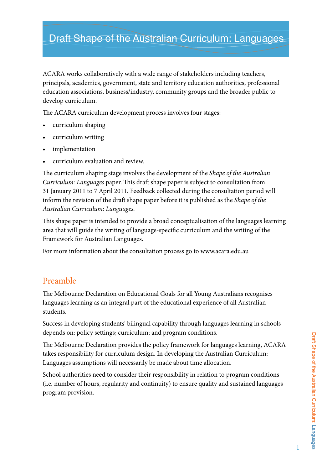## Draft Shape of the Australian Curriculum: Languages

ACARA works collaboratively with a wide range of stakeholders including teachers, principals, academics, government, state and territory education authorities, professional education associations, business/industry, community groups and the broader public to develop curriculum.

The ACARA curriculum development process involves four stages:

- • curriculum shaping
- curriculum writing
- implementation
- curriculum evaluation and review.

The curriculum shaping stage involves the development of the *Shape of the Australian Curriculum: Languages* paper. This draft shape paper is subject to consultation from 31 January 2011 to 7 April 2011. Feedback collected during the consultation period will inform the revision of the draft shape paper before it is published as the *Shape of the Australian Curriculum: Languages*.

This shape paper is intended to provide a broad conceptualisation of the languages learning area that will guide the writing of language-specific curriculum and the writing of the Framework for Australian Languages.

For more information about the consultation process go to www.acara.edu.au

### Preamble

The Melbourne Declaration on Educational Goals for all Young Australians recognises languages learning as an integral part of the educational experience of all Australian students.

Success in developing students' bilingual capability through languages learning in schools depends on: policy settings; curriculum; and program conditions.

The Melbourne Declaration provides the policy framework for languages learning, ACARA takes responsibility for curriculum design. In developing the Australian Curriculum: Languages assumptions will necessarily be made about time allocation.

School authorities need to consider their responsibility in relation to program conditions (i.e. number of hours, regularity and continuity) to ensure quality and sustained languages program provision.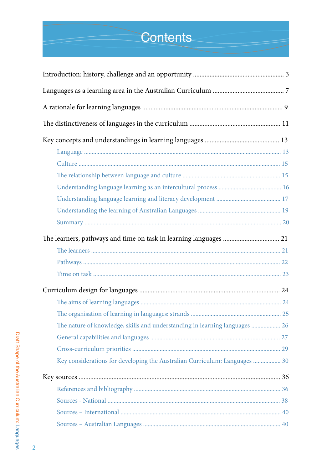# **Contents**

| The nature of knowledge, skills and understanding in learning languages  26 |  |
|-----------------------------------------------------------------------------|--|
|                                                                             |  |
|                                                                             |  |
| Key considerations for developing the Australian Curriculum: Languages  30  |  |
|                                                                             |  |
|                                                                             |  |
|                                                                             |  |
|                                                                             |  |
|                                                                             |  |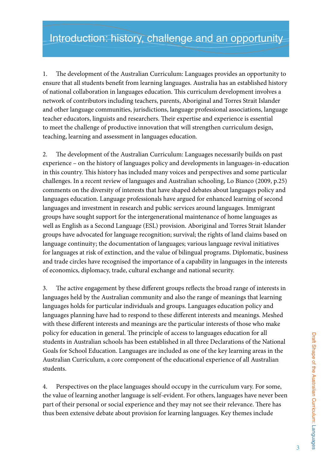1. The development of the Australian Curriculum: Languages provides an opportunity to ensure that all students benefit from learning languages. Australia has an established history of national collaboration in languages education. This curriculum development involves a network of contributors including teachers, parents, Aboriginal and Torres Strait Islander and other language communities, jurisdictions, language professional associations, language teacher educators, linguists and researchers. Their expertise and experience is essential to meet the challenge of productive innovation that will strengthen curriculum design, teaching, learning and assessment in languages education.

2. The development of the Australian Curriculum: Languages necessarily builds on past experience – on the history of languages policy and developments in languages-in-education in this country. This history has included many voices and perspectives and some particular challenges. In a recent review of languages and Australian schooling, Lo Bianco (2009, p.25) comments on the diversity of interests that have shaped debates about languages policy and languages education. Language professionals have argued for enhanced learning of second languages and investment in research and public services around languages. Immigrant groups have sought support for the intergenerational maintenance of home languages as well as English as a Second Language (ESL) provision. Aboriginal and Torres Strait Islander groups have advocated for language recognition; survival; the rights of land claims based on language continuity; the documentation of languages; various language revival initiatives for languages at risk of extinction, and the value of bilingual programs. Diplomatic, business and trade circles have recognised the importance of a capability in languages in the interests of economics, diplomacy, trade, cultural exchange and national security.

3. The active engagement by these different groups reflects the broad range of interests in languages held by the Australian community and also the range of meanings that learning languages holds for particular individuals and groups. Languages education policy and languages planning have had to respond to these different interests and meanings. Meshed with these different interests and meanings are the particular interests of those who make policy for education in general. The principle of access to languages education for all students in Australian schools has been established in all three Declarations of the National Goals for School Education. Languages are included as one of the key learning areas in the Australian Curriculum, a core component of the educational experience of all Australian students.

4. Perspectives on the place languages should occupy in the curriculum vary. For some, the value of learning another language is self-evident. For others, languages have never been part of their personal or social experience and they may not see their relevance. There has thus been extensive debate about provision for learning languages. Key themes include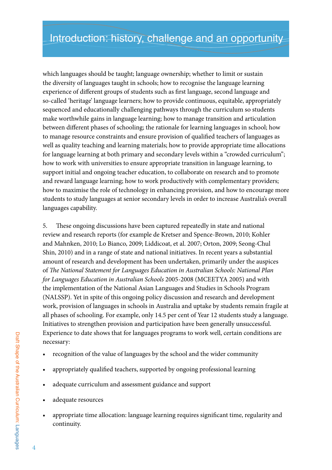which languages should be taught; language ownership; whether to limit or sustain the diversity of languages taught in schools; how to recognise the language learning experience of different groups of students such as first language, second language and so-called 'heritage' language learners; how to provide continuous, equitable, appropriately sequenced and educationally challenging pathways through the curriculum so students make worthwhile gains in language learning; how to manage transition and articulation between different phases of schooling; the rationale for learning languages in school; how to manage resource constraints and ensure provision of qualified teachers of languages as well as quality teaching and learning materials; how to provide appropriate time allocations for language learning at both primary and secondary levels within a "crowded curriculum"; how to work with universities to ensure appropriate transition in language learning, to support initial and ongoing teacher education, to collaborate on research and to promote and reward language learning; how to work productively with complementary providers; how to maximise the role of technology in enhancing provision, and how to encourage more students to study languages at senior secondary levels in order to increase Australia's overall languages capability.

5. These ongoing discussions have been captured repeatedly in state and national review and research reports (for example de Kretser and Spence-Brown, 2010; Kohler and Mahnken, 2010; Lo Bianco, 2009; Liddicoat, et al. 2007; Orton, 2009; Seong-Chul Shin, 2010) and in a range of state and national initiatives. In recent years a substantial amount of research and development has been undertaken, primarily under the auspices of *The National Statement for Languages Education in Australian Schools: National Plan for Languages Education in Australian Schools* 2005-2008 (MCEETYA 2005) and with the implementation of the National Asian Languages and Studies in Schools Program (NALSSP). Yet in spite of this ongoing policy discussion and research and development work, provision of languages in schools in Australia and uptake by students remain fragile at all phases of schooling. For example, only 14.5 per cent of Year 12 students study a language. Initiatives to strengthen provision and participation have been generally unsuccessful. Experience to date shows that for languages programs to work well, certain conditions are necessary:

- recognition of the value of languages by the school and the wider community
- appropriately qualified teachers, supported by ongoing professional learning
- adequate curriculum and assessment guidance and support
- adequate resources
- appropriate time allocation: language learning requires significant time, regularity and continuity.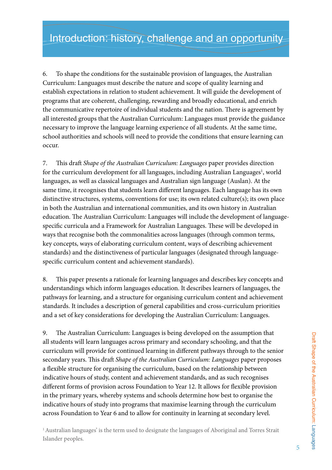6. To shape the conditions for the sustainable provision of languages, the Australian Curriculum: Languages must describe the nature and scope of quality learning and establish expectations in relation to student achievement. It will guide the development of programs that are coherent, challenging, rewarding and broadly educational, and enrich the communicative repertoire of individual students and the nation. There is agreement by all interested groups that the Australian Curriculum: Languages must provide the guidance necessary to improve the language learning experience of all students. At the same time, school authorities and schools will need to provide the conditions that ensure learning can occur.

7. This draft *Shape of the Australian Curriculum: Languages* paper provides direction for the curriculum development for all languages, including Australian Languages<sup>1</sup>, world languages, as well as classical languages and Australian sign language (Auslan). At the same time, it recognises that students learn different languages. Each language has its own distinctive structures, systems, conventions for use; its own related culture(s); its own place in both the Australian and international communities, and its own history in Australian education. The Australian Curriculum: Languages will include the development of languagespecific curricula and a Framework for Australian Languages. These will be developed in ways that recognise both the commonalities across languages (through common terms, key concepts, ways of elaborating curriculum content, ways of describing achievement standards) and the distinctiveness of particular languages (designated through languagespecific curriculum content and achievement standards).

8. This paper presents a rationale for learning languages and describes key concepts and understandings which inform languages education. It describes learners of languages, the pathways for learning, and a structure for organising curriculum content and achievement standards. It includes a description of general capabilities and cross-curriculum priorities and a set of key considerations for developing the Australian Curriculum: Languages.

9. The Australian Curriculum: Languages is being developed on the assumption that all students will learn languages across primary and secondary schooling, and that the curriculum will provide for continued learning in different pathways through to the senior secondary years. This draft *Shape of the Australian Curriculum: Languages* paper proposes a flexible structure for organising the curriculum, based on the relationship between indicative hours of study, content and achievement standards, and as such recognises different forms of provision across Foundation to Year 12. It allows for flexible provision in the primary years, whereby systems and schools determine how best to organise the indicative hours of study into programs that maximise learning through the curriculum across Foundation to Year 6 and to allow for continuity in learning at secondary level.

<sup>1</sup> Australian languages' is the term used to designate the languages of Aboriginal and Torres Strait Islander peoples.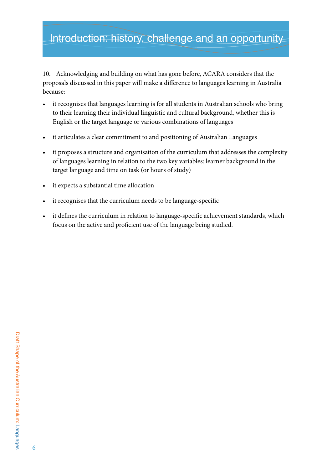## Introduction: history, challenge and an opportunity

10. Acknowledging and building on what has gone before, ACARA considers that the proposals discussed in this paper will make a difference to languages learning in Australia because:

- it recognises that languages learning is for all students in Australian schools who bring to their learning their individual linguistic and cultural background, whether this is English or the target language or various combinations of languages
- it articulates a clear commitment to and positioning of Australian Languages
- it proposes a structure and organisation of the curriculum that addresses the complexity of languages learning in relation to the two key variables: learner background in the target language and time on task (or hours of study)
- • it expects a substantial time allocation
- it recognises that the curriculum needs to be language-specific
- it defines the curriculum in relation to language-specific achievement standards, which focus on the active and proficient use of the language being studied.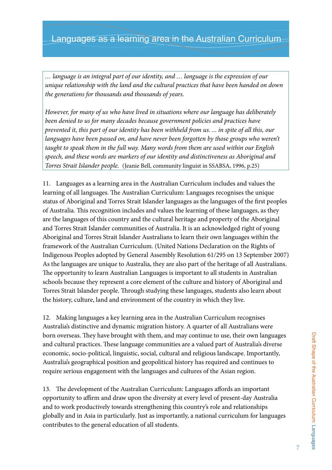## Languages as a learning area in the Australian Curriculum

*… language is an integral part of our identity, and … language is the expression of our unique relationship with the land and the cultural practices that have been handed on down the generations for thousands and thousands of years.*

*However, for many of us who have lived in situations where our language has deliberately been denied to us for many decades because government policies and practices have prevented it, this part of our identity has been withheld from us. ... in spite of all this, our languages have been passed on, and have never been forgotten by those groups who weren't taught to speak them in the full way. Many words from them are used within our English speech, and these words are markers of our identity and distinctiveness as Aboriginal and Torres Strait Islander people.* (Jeanie Bell, community linguist in SSABSA, 1996, p.25)

11. Languages as a learning area in the Australian Curriculum includes and values the learning of all languages. The Australian Curriculum: Languages recognises the unique status of Aboriginal and Torres Strait Islander languages as the languages of the first peoples of Australia. This recognition includes and values the learning of these languages, as they are the languages of this country and the cultural heritage and property of the Aboriginal and Torres Strait Islander communities of Australia. It is an acknowledged right of young Aboriginal and Torres Strait Islander Australians to learn their own languages within the framework of the Australian Curriculum. (United Nations Declaration on the Rights of Indigenous Peoples adopted by General Assembly Resolution 61/295 on 13 September 2007) As the languages are unique to Australia, they are also part of the heritage of all Australians. The opportunity to learn Australian Languages is important to all students in Australian schools because they represent a core element of the culture and history of Aboriginal and Torres Strait Islander people. Through studying these languages, students also learn about the history, culture, land and environment of the country in which they live.

12. Making languages a key learning area in the Australian Curriculum recognises Australia's distinctive and dynamic migration history. A quarter of all Australians were born overseas. They have brought with them, and may continue to use, their own languages and cultural practices. These language communities are a valued part of Australia's diverse economic, socio-political, linguistic, social, cultural and religious landscape. Importantly, Australia's geographical position and geopolitical history has required and continues to require serious engagement with the languages and cultures of the Asian region.

13. The development of the Australian Curriculum: Languages affords an important opportunity to affirm and draw upon the diversity at every level of present-day Australia and to work productively towards strengthening this country's role and relationships globally and in Asia in particularly. Just as importantly, a national curriculum for languages contributes to the general education of all students.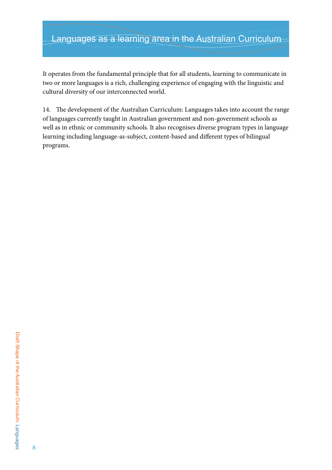## Languages as a learning area in the Australian Curriculum

It operates from the fundamental principle that for all students, learning to communicate in two or more languages is a rich, challenging experience of engaging with the linguistic and cultural diversity of our interconnected world.

14. The development of the Australian Curriculum: Languages takes into account the range of languages currently taught in Australian government and non-government schools as well as in ethnic or community schools. It also recognises diverse program types in language learning including language-as-subject, content-based and different types of bilingual programs.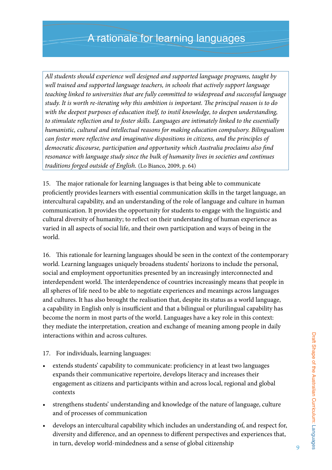*All students should experience well designed and supported language programs, taught by well trained and supported language teachers, in schools that actively support language teaching linked to universities that are fully committed to widespread and successful language study. It is worth re-iterating why this ambition is important. The principal reason is to do with the deepest purposes of education itself, to instil knowledge, to deepen understanding, to stimulate reflection and to foster skills. Languages are intimately linked to the essentially humanistic, cultural and intellectual reasons for making education compulsory. Bilingualism can foster more reflective and imaginative dispositions in citizens, and the principles of democratic discourse, participation and opportunity which Australia proclaims also find resonance with language study since the bulk of humanity lives in societies and continues traditions forged outside of English.* (Lo Bianco, 2009, p. 64)

15. The major rationale for learning languages is that being able to communicate proficiently provides learners with essential communication skills in the target language, an intercultural capability, and an understanding of the role of language and culture in human communication. It provides the opportunity for students to engage with the linguistic and cultural diversity of humanity; to reflect on their understanding of human experience as varied in all aspects of social life, and their own participation and ways of being in the world.

16. This rationale for learning languages should be seen in the context of the contemporary world. Learning languages uniquely broadens students' horizons to include the personal, social and employment opportunities presented by an increasingly interconnected and interdependent world. The interdependence of countries increasingly means that people in all spheres of life need to be able to negotiate experiences and meanings across languages and cultures. It has also brought the realisation that, despite its status as a world language, a capability in English only is insufficient and that a bilingual or plurilingual capability has become the norm in most parts of the world. Languages have a key role in this context: they mediate the interpretation, creation and exchange of meaning among people in daily interactions within and across cultures.

- 17. For individuals, learning languages:
- extends students' capability to communicate: proficiency in at least two languages expands their communicative repertoire, develops literacy and increases their engagement as citizens and participants within and across local, regional and global contexts
- strengthens students' understanding and knowledge of the nature of language, culture and of processes of communication
- develops an intercultural capability which includes an understanding of, and respect for, diversity and difference, and an openness to different perspectives and experiences that, in turn, develop world-mindedness and a sense of global citizenship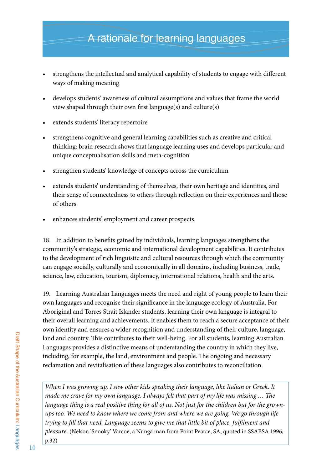## A rationale for learning languages

- strengthens the intellectual and analytical capability of students to engage with different ways of making meaning
- develops students' awareness of cultural assumptions and values that frame the world view shaped through their own first language(s) and culture(s)
- extends students' literacy repertoire
- strengthens cognitive and general learning capabilities such as creative and critical thinking: brain research shows that language learning uses and develops particular and unique conceptualisation skills and meta-cognition
- strengthen students' knowledge of concepts across the curriculum
- extends students' understanding of themselves, their own heritage and identities, and their sense of connectedness to others through reflection on their experiences and those of others
- enhances students' employment and career prospects.

18. In addition to benefits gained by individuals, learning languages strengthens the community's strategic, economic and international development capabilities. It contributes to the development of rich linguistic and cultural resources through which the community can engage socially, culturally and economically in all domains, including business, trade, science, law, education, tourism, diplomacy, international relations, health and the arts.

19. Learning Australian Languages meets the need and right of young people to learn their own languages and recognise their significance in the language ecology of Australia. For Aboriginal and Torres Strait Islander students, learning their own language is integral to their overall learning and achievements. It enables them to reach a secure acceptance of their own identity and ensures a wider recognition and understanding of their culture, language, land and country. This contributes to their well-being. For all students, learning Australian Languages provides a distinctive means of understanding the country in which they live, including, for example, the land, environment and people. The ongoing and necessary reclamation and revitalisation of these languages also contributes to reconciliation.

*When I was growing up, I saw other kids speaking their language, like Italian or Greek. It made me crave for my own language. I always felt that part of my life was missing … The language thing is a real positive thing for all of us. Not just for the children but for the grownups too. We need to know where we come from and where we are going. We go through life trying to fill that need. Language seems to give me that little bit of place, fulfilment and pleasure.* (Nelson 'Snooky' Varcoe, a Nunga man from Point Pearce, SA, quoted in SSABSA 1996, p.32)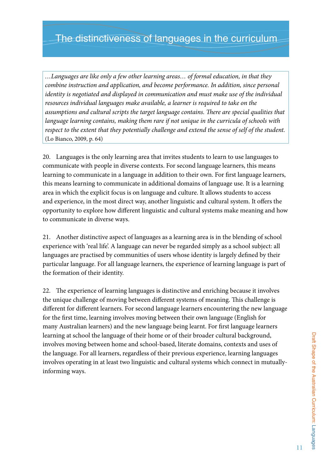*…Languages are like only a few other learning areas… of formal education, in that they combine instruction and application, and become performance. In addition, since personal identity is negotiated and displayed in communication and must make use of the individual resources individual languages make available, a learner is required to take on the assumptions and cultural scripts the target language contains. There are special qualities that language learning contains, making them rare if not unique in the curricula of schools with respect to the extent that they potentially challenge and extend the sense of self of the student.* (Lo Bianco, 2009, p. 64)

20. Languages is the only learning area that invites students to learn to use languages to communicate with people in diverse contexts. For second language learners, this means learning to communicate in a language in addition to their own. For first language learners, this means learning to communicate in additional domains of language use. It is a learning area in which the explicit focus is on language and culture. It allows students to access and experience, in the most direct way, another linguistic and cultural system. It offers the opportunity to explore how different linguistic and cultural systems make meaning and how to communicate in diverse ways.

21. Another distinctive aspect of languages as a learning area is in the blending of school experience with 'real life'. A language can never be regarded simply as a school subject: all languages are practised by communities of users whose identity is largely defined by their particular language. For all language learners, the experience of learning language is part of the formation of their identity.

22. The experience of learning languages is distinctive and enriching because it involves the unique challenge of moving between different systems of meaning. This challenge is different for different learners. For second language learners encountering the new language for the first time, learning involves moving between their own language (English for many Australian learners) and the new language being learnt. For first language learners learning at school the language of their home or of their broader cultural background, involves moving between home and school-based, literate domains, contexts and uses of the language. For all learners, regardless of their previous experience, learning languages involves operating in at least two linguistic and cultural systems which connect in mutuallyinforming ways.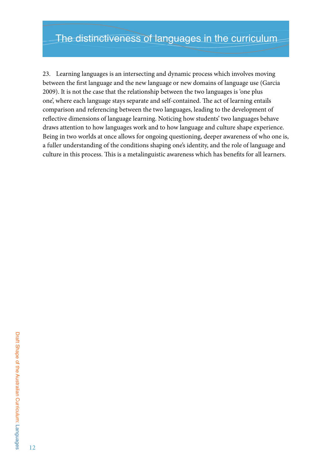23. Learning languages is an intersecting and dynamic process which involves moving between the first language and the new language or new domains of language use (Garcia 2009). It is not the case that the relationship between the two languages is 'one plus one', where each language stays separate and self-contained. The act of learning entails comparison and referencing between the two languages, leading to the development of reflective dimensions of language learning. Noticing how students' two languages behave draws attention to how languages work and to how language and culture shape experience. Being in two worlds at once allows for ongoing questioning, deeper awareness of who one is, a fuller understanding of the conditions shaping one's identity, and the role of language and culture in this process. This is a metalinguistic awareness which has benefits for all learners.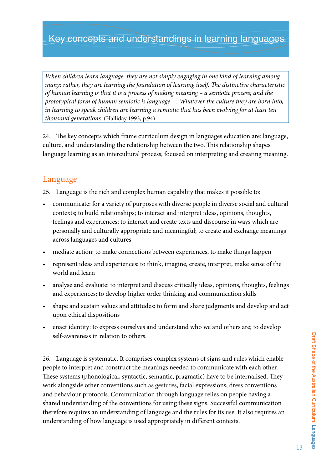## Key concepts and understandings in learning languages

*When children learn language, they are not simply engaging in one kind of learning among many: rather, they are learning the foundation of learning itself. The distinctive characteristic of human learning is that it is a process of making meaning – a semiotic process; and the prototypical form of human semiotic is language…. Whatever the culture they are born into, in learning to speak children are learning a semiotic that has been evolving for at least ten thousand generations.* (Halliday 1993, p.94)

24. The key concepts which frame curriculum design in languages education are: language, culture, and understanding the relationship between the two. This relationship shapes language learning as an intercultural process, focused on interpreting and creating meaning.

### Language

25. Language is the rich and complex human capability that makes it possible to:

- communicate: for a variety of purposes with diverse people in diverse social and cultural contexts; to build relationships; to interact and interpret ideas, opinions, thoughts, feelings and experiences; to interact and create texts and discourse in ways which are personally and culturally appropriate and meaningful; to create and exchange meanings across languages and cultures
- mediate action: to make connections between experiences, to make things happen
- represent ideas and experiences: to think, imagine, create, interpret, make sense of the world and learn
- analyse and evaluate: to interpret and discuss critically ideas, opinions, thoughts, feelings and experiences; to develop higher order thinking and communication skills
- shape and sustain values and attitudes: to form and share judgments and develop and act upon ethical dispositions
- enact identity: to express ourselves and understand who we and others are; to develop self-awareness in relation to others.

26. Language is systematic. It comprises complex systems of signs and rules which enable people to interpret and construct the meanings needed to communicate with each other. These systems (phonological, syntactic, semantic, pragmatic) have to be internalised. They work alongside other conventions such as gestures, facial expressions, dress conventions and behaviour protocols. Communication through language relies on people having a shared understanding of the conventions for using these signs. Successful communication therefore requires an understanding of language and the rules for its use. It also requires an understanding of how language is used appropriately in different contexts.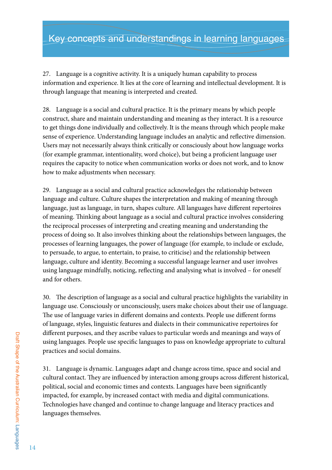27. Language is a cognitive activity. It is a uniquely human capability to process information and experience. It lies at the core of learning and intellectual development. It is through language that meaning is interpreted and created.

28. Language is a social and cultural practice. It is the primary means by which people construct, share and maintain understanding and meaning as they interact. It is a resource to get things done individually and collectively. It is the means through which people make sense of experience. Understanding language includes an analytic and reflective dimension. Users may not necessarily always think critically or consciously about how language works (for example grammar, intentionality, word choice), but being a proficient language user requires the capacity to notice when communication works or does not work, and to know how to make adjustments when necessary.

29. Language as a social and cultural practice acknowledges the relationship between language and culture. Culture shapes the interpretation and making of meaning through language, just as language, in turn, shapes culture. All languages have different repertoires of meaning. Thinking about language as a social and cultural practice involves considering the reciprocal processes of interpreting and creating meaning and understanding the process of doing so. It also involves thinking about the relationships between languages, the processes of learning languages, the power of language (for example, to include or exclude, to persuade, to argue, to entertain, to praise, to criticise) and the relationship between language, culture and identity. Becoming a successful language learner and user involves using language mindfully, noticing, reflecting and analysing what is involved – for oneself and for others.

30. The description of language as a social and cultural practice highlights the variability in language use. Consciously or unconsciously, users make choices about their use of language. The use of language varies in different domains and contexts. People use different forms of language, styles, linguistic features and dialects in their communicative repertoires for different purposes, and they ascribe values to particular words and meanings and ways of using languages. People use specific languages to pass on knowledge appropriate to cultural practices and social domains.

31. Language is dynamic. Languages adapt and change across time, space and social and cultural contact. They are influenced by interaction among groups across different historical, political, social and economic times and contexts. Languages have been significantly impacted, for example, by increased contact with media and digital communications. Technologies have changed and continue to change language and literacy practices and languages themselves.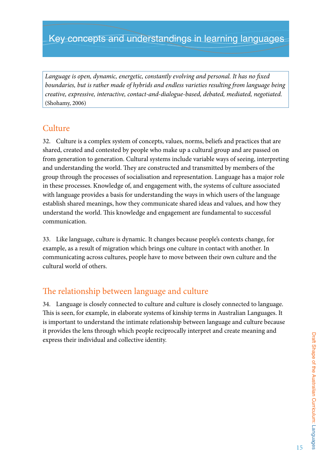*Language is open, dynamic, energetic, constantly evolving and personal. It has no fixed boundaries, but is rather made of hybrids and endless varieties resulting from language being creative, expressive, interactive, contact-and-dialogue-based, debated, mediated, negotiated.*  (Shohamy, 2006)

## **Culture**

32. Culture is a complex system of concepts, values, norms, beliefs and practices that are shared, created and contested by people who make up a cultural group and are passed on from generation to generation. Cultural systems include variable ways of seeing, interpreting and understanding the world. They are constructed and transmitted by members of the group through the processes of socialisation and representation. Language has a major role in these processes. Knowledge of, and engagement with, the systems of culture associated with language provides a basis for understanding the ways in which users of the language establish shared meanings, how they communicate shared ideas and values, and how they understand the world. This knowledge and engagement are fundamental to successful communication.

33. Like language, culture is dynamic. It changes because people's contexts change, for example, as a result of migration which brings one culture in contact with another. In communicating across cultures, people have to move between their own culture and the cultural world of others.

## The relationship between language and culture

34. Language is closely connected to culture and culture is closely connected to language. This is seen, for example, in elaborate systems of kinship terms in Australian Languages. It is important to understand the intimate relationship between language and culture because it provides the lens through which people reciprocally interpret and create meaning and express their individual and collective identity.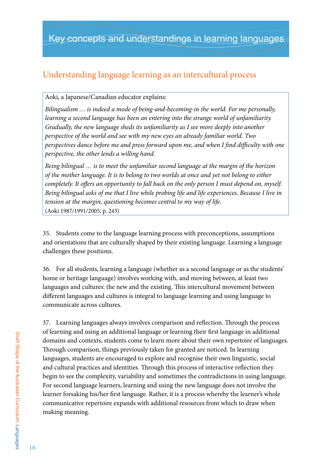## Understanding language learning as an intercultural process

#### Aoki, a Japanese/Canadian educator explains:

*Bilingualism … is indeed a mode of being-and-becoming-in the world. For me personally, learning a second language has been an entering into the strange world of unfamiliarity. Gradually, the new language sheds its unfamiliarity as I see more deeply into another perspective of the world and see with my new eyes an already familiar world. Two perspectives dance before me and press forward upon me, and when I find difficulty with one perspective, the other lends a willing hand.*

*Being bilingual … is to meet the unfamiliar second language at the margin of the horizon of the mother language. It is to belong to two worlds at once and yet not belong to either completely. It offers an opportunity to fall back on the only person I must depend on, myself. Being bilingual asks of me that I live while probing life and life experiences. Because I live in tension at the margin, questioning becomes central to my way of life.*  (Aoki 1987/1991/2005, p. 243)

35. Students come to the language learning process with preconceptions, assumptions and orientations that are culturally shaped by their existing language. Learning a language challenges these positions.

36. For all students, learning a language (whether as a second language or as the students' home or heritage language) involves working with, and moving between, at least two languages and cultures: the new and the existing. This intercultural movement between different languages and cultures is integral to language learning and using language to communicate across cultures.

37. Learning languages always involves comparison and reflection. Through the process of learning and using an additional language or learning their first language in additional domains and contexts, students come to learn more about their own repertoire of languages. Through comparison, things previously taken for granted are noticed. In learning languages, students are encouraged to explore and recognise their own linguistic, social and cultural practices and identities. Through this process of interactive reflection they begin to see the complexity, variability and sometimes the contradictions in using language. For second language learners, learning and using the new language does not involve the learner forsaking his/her first language. Rather, it is a process whereby the learner's whole communicative repertoire expands with additional resources from which to draw when making meaning.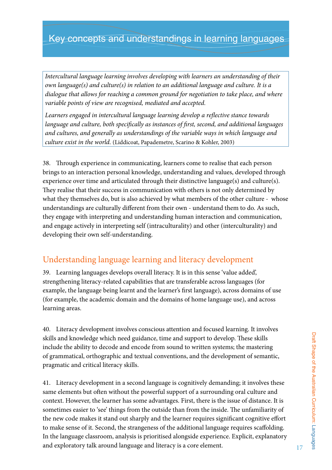## Key concepts and understandings in learning languages

*Intercultural language learning involves developing with learners an understanding of their own language(s) and culture(s) in relation to an additional language and culture. It is a dialogue that allows for reaching a common ground for negotiation to take place, and where variable points of view are recognised, mediated and accepted.*

*Learners engaged in intercultural language learning develop a reflective stance towards language and culture, both specifically as instances of first, second, and additional languages and cultures, and generally as understandings of the variable ways in which language and culture exist in the world.* (Liddicoat, Papademetre, Scarino & Kohler, 2003)

38. Through experience in communicating, learners come to realise that each person brings to an interaction personal knowledge, understanding and values, developed through experience over time and articulated through their distinctive language(s) and culture(s). They realise that their success in communication with others is not only determined by what they themselves do, but is also achieved by what members of the other culture - whose understandings are culturally different from their own - understand them to do. As such, they engage with interpreting and understanding human interaction and communication, and engage actively in interpreting self (intraculturality) and other (interculturality) and developing their own self-understanding.

## Understanding language learning and literacy development

39. Learning languages develops overall literacy. It is in this sense 'value added', strengthening literacy-related capabilities that are transferable across languages (for example, the language being learnt and the learner's first language), across domains of use (for example, the academic domain and the domains of home language use), and across learning areas.

40. Literacy development involves conscious attention and focused learning. It involves skills and knowledge which need guidance, time and support to develop. These skills include the ability to decode and encode from sound to written systems; the mastering of grammatical, orthographic and textual conventions, and the development of semantic, pragmatic and critical literacy skills.

41. Literacy development in a second language is cognitively demanding; it involves these same elements but often without the powerful support of a surrounding oral culture and context. However, the learner has some advantages. First, there is the issue of distance. It is sometimes easier to 'see' things from the outside than from the inside. The unfamiliarity of the new code makes it stand out sharply and the learner requires significant cognitive effort to make sense of it. Second, the strangeness of the additional language requires scaffolding. In the language classroom, analysis is prioritised alongside experience. Explicit, explanatory and exploratory talk around language and literacy is a core element.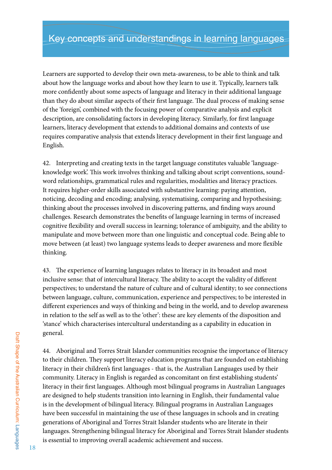Learners are supported to develop their own meta-awareness, to be able to think and talk about how the language works and about how they learn to use it. Typically, learners talk more confidently about some aspects of language and literacy in their additional language than they do about similar aspects of their first language. The dual process of making sense of the 'foreign', combined with the focusing power of comparative analysis and explicit description, are consolidating factors in developing literacy. Similarly, for first language learners, literacy development that extends to additional domains and contexts of use requires comparative analysis that extends literacy development in their first language and English.

42. Interpreting and creating texts in the target language constitutes valuable 'languageknowledge work'. This work involves thinking and talking about script conventions, soundword relationships, grammatical rules and regularities, modalities and literacy practices. It requires higher-order skills associated with substantive learning: paying attention, noticing, decoding and encoding; analysing, systematising, comparing and hypothesising; thinking about the processes involved in discovering patterns, and finding ways around challenges. Research demonstrates the benefits of language learning in terms of increased cognitive flexibility and overall success in learning; tolerance of ambiguity, and the ability to manipulate and move between more than one linguistic and conceptual code. Being able to move between (at least) two language systems leads to deeper awareness and more flexible thinking.

43. The experience of learning languages relates to literacy in its broadest and most inclusive sense: that of intercultural literacy. The ability to accept the validity of different perspectives; to understand the nature of culture and of cultural identity; to see connections between language, culture, communication, experience and perspectives; to be interested in different experiences and ways of thinking and being in the world, and to develop awareness in relation to the self as well as to the 'other': these are key elements of the disposition and 'stance' which characterises intercultural understanding as a capability in education in general.

44. Aboriginal and Torres Strait Islander communities recognise the importance of literacy to their children. They support literacy education programs that are founded on establishing literacy in their children's first languages - that is, the Australian Languages used by their community. Literacy in English is regarded as concomitant on first establishing students' literacy in their first languages. Although most bilingual programs in Australian Languages are designed to help students transition into learning in English, their fundamental value is in the development of bilingual literacy. Bilingual programs in Australian Languages have been successful in maintaining the use of these languages in schools and in creating generations of Aboriginal and Torres Strait Islander students who are literate in their languages. Strengthening bilingual literacy for Aboriginal and Torres Strait Islander students is essential to improving overall academic achievement and success.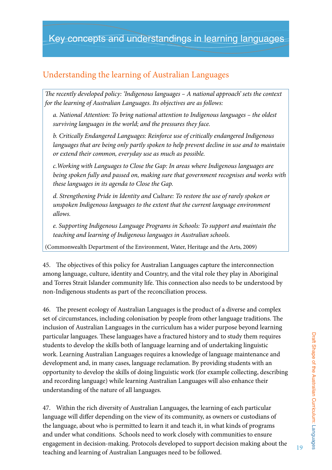## Understanding the learning of Australian Languages

*The recently developed policy: 'Indigenous languages – A national approach' sets the context for the learning of Australian Languages. Its objectives are as follows:*

*a. National Attention: To bring national attention to Indigenous languages – the oldest surviving languages in the world; and the pressures they face.* 

*b. Critically Endangered Languages: Reinforce use of critically endangered Indigenous languages that are being only partly spoken to help prevent decline in use and to maintain or extend their common, everyday use as much as possible.* 

*c.Working with Languages to Close the Gap: In areas where Indigenous languages are being spoken fully and passed on, making sure that government recognises and works with these languages in its agenda to Close the Gap.* 

*d. Strengthening Pride in Identity and Culture: To restore the use of rarely spoken or unspoken Indigenous languages to the extent that the current language environment allows.* 

*e. Supporting Indigenous Language Programs in Schools: To support and maintain the teaching and learning of Indigenous languages in Australian schools.*

(Commonwealth Department of the Environment, Water, Heritage and the Arts, 2009)

45. The objectives of this policy for Australian Languages capture the interconnection among language, culture, identity and Country, and the vital role they play in Aboriginal and Torres Strait Islander community life. This connection also needs to be understood by non-Indigenous students as part of the reconciliation process.

46. The present ecology of Australian Languages is the product of a diverse and complex set of circumstances, including colonisation by people from other language traditions. The inclusion of Australian Languages in the curriculum has a wider purpose beyond learning particular languages. These languages have a fractured history and to study them requires students to develop the skills both of language learning and of undertaking linguistic work. Learning Australian Languages requires a knowledge of language maintenance and development and, in many cases, language reclamation. By providing students with an opportunity to develop the skills of doing linguistic work (for example collecting, describing and recording language) while learning Australian Languages will also enhance their understanding of the nature of all languages.

47. Within the rich diversity of Australian Languages, the learning of each particular language will differ depending on the view of its community, as owners or custodians of the language, about who is permitted to learn it and teach it, in what kinds of programs and under what conditions. Schools need to work closely with communities to ensure engagement in decision-making. Protocols developed to support decision making about the teaching and learning of Australian Languages need to be followed.

19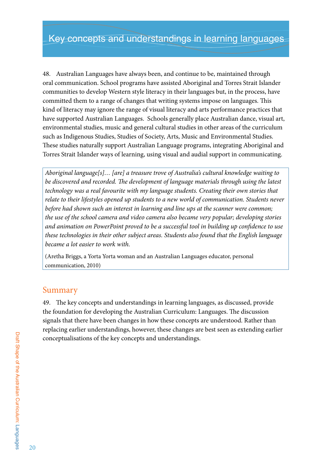48. Australian Languages have always been, and continue to be, maintained through oral communication. School programs have assisted Aboriginal and Torres Strait Islander communities to develop Western style literacy in their languages but, in the process, have committed them to a range of changes that writing systems impose on languages. This kind of literacy may ignore the range of visual literacy and arts performance practices that have supported Australian Languages. Schools generally place Australian dance, visual art, environmental studies, music and general cultural studies in other areas of the curriculum such as Indigenous Studies, Studies of Society, Arts, Music and Environmental Studies. These studies naturally support Australian Language programs, integrating Aboriginal and Torres Strait Islander ways of learning, using visual and audial support in communicating.

*Aboriginal language[s]… [are] a treasure trove of Australia's cultural knowledge waiting to be discovered and recorded. The development of language materials through using the latest technology was a real favourite with my language students. Creating their own stories that relate to their lifestyles opened up students to a new world of communication. Students never*  before had shown such an interest in learning and line ups at the scanner were common; *the use of the school camera and video camera also became very popular; developing stories and animation on PowerPoint proved to be a successful tool in building up confidence to use these technologies in their other subject areas. Students also found that the English language became a lot easier to work with.*

(Aretha Briggs, a Yorta Yorta woman and an Australian Languages educator, personal communication, 2010)

### Summary

49. The key concepts and understandings in learning languages, as discussed, provide the foundation for developing the Australian Curriculum: Languages. The discussion signals that there have been changes in how these concepts are understood. Rather than replacing earlier understandings, however, these changes are best seen as extending earlier conceptualisations of the key concepts and understandings.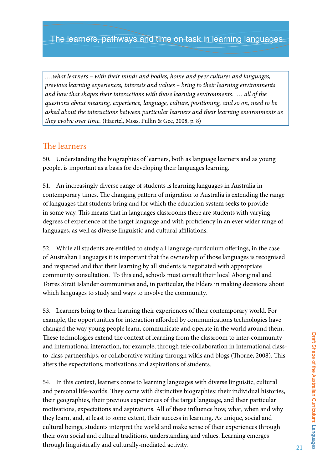*.…what learners – with their minds and bodies, home and peer cultures and languages, previous learning experiences, interests and values – bring to their learning environments and how that shapes their interactions with those learning environments. … all of the questions about meaning, experience, language, culture, positioning, and so on, need to be asked about the interactions between particular learners and their learning environments as they evolve over time.* (Haertel, Moss, Pullin & Gee, 2008, p. 8)

### The learners

50. Understanding the biographies of learners, both as language learners and as young people, is important as a basis for developing their languages learning.

51. An increasingly diverse range of students is learning languages in Australia in contemporary times. The changing pattern of migration to Australia is extending the range of languages that students bring and for which the education system seeks to provide in some way. This means that in languages classrooms there are students with varying degrees of experience of the target language and with proficiency in an ever wider range of languages, as well as diverse linguistic and cultural affiliations.

52. While all students are entitled to study all language curriculum offerings, in the case of Australian Languages it is important that the ownership of those languages is recognised and respected and that their learning by all students is negotiated with appropriate community consultation. To this end, schools must consult their local Aboriginal and Torres Strait Islander communities and, in particular, the Elders in making decisions about which languages to study and ways to involve the community.

53. Learners bring to their learning their experiences of their contemporary world. For example, the opportunities for interaction afforded by communications technologies have changed the way young people learn, communicate and operate in the world around them. These technologies extend the context of learning from the classroom to inter-community and international interaction, for example, through tele-collaboration in international classto-class partnerships, or collaborative writing through wikis and blogs (Thorne, 2008). This alters the expectations, motivations and aspirations of students.

54. In this context, learners come to learning languages with diverse linguistic, cultural and personal life-worlds. They come with distinctive biographies: their individual histories, their geographies, their previous experiences of the target language, and their particular motivations, expectations and aspirations. All of these influence how, what, when and why they learn, and, at least to some extent, their success in learning. As unique, social and cultural beings, students interpret the world and make sense of their experiences through their own social and cultural traditions, understanding and values. Learning emerges through linguistically and culturally-mediated activity.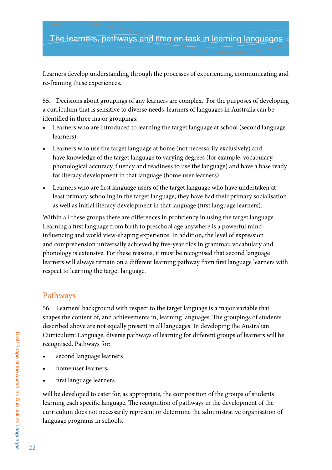### The learners, pathways and time on task in learning languages

Learners develop understanding through the processes of experiencing, communicating and re-framing these experiences.

55. Decisions about groupings of any learners are complex. For the purposes of developing a curriculum that is sensitive to diverse needs, learners of languages in Australia can be identified in three major groupings:

- Learners who are introduced to learning the target language at school (second language learners)
- Learners who use the target language at home (not necessarily exclusively) and have knowledge of the target language to varying degrees (for example, vocabulary, phonological accuracy, fluency and readiness to use the language) and have a base ready for literacy development in that language (home user learners)
- Learners who are first language users of the target language who have undertaken at least primary schooling in the target language; they have had their primary socialisation as well as initial literacy development in that language (first language learners).

Within all these groups there are differences in proficiency in using the target language. Learning a first language from birth to preschool age anywhere is a powerful mindinfluencing and world view-shaping experience. In addition, the level of expression and comprehension universally achieved by five-year olds in grammar, vocabulary and phonology is extensive. For these reasons, it must be recognised that second language learners will always remain on a different learning pathway from first language learners with respect to learning the target language.

### Pathways

56. Learners' background with respect to the target language is a major variable that shapes the content of, and achievements in, learning languages. The groupings of students described above are not equally present in all languages. In developing the Australian Curriculum: Language, diverse pathways of learning for different groups of learners will be recognised. Pathways for:

- second language learners
- home user learners,
- first language learners.

will be developed to cater for, as appropriate, the composition of the groups of students learning each specific language. The recognition of pathways in the development of the curriculum does not necessarily represent or determine the administrative organisation of language programs in schools.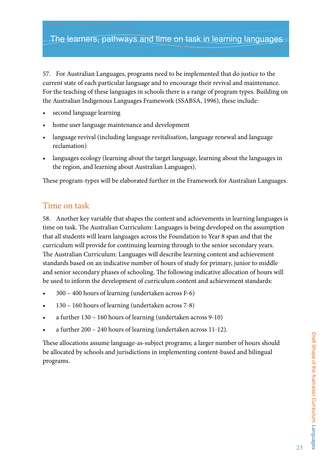### The learners, pathways and time on task in learning languages

57. For Australian Languages, programs need to be implemented that do justice to the current state of each particular language and to encourage their revival and maintenance. For the teaching of these languages in schools there is a range of program types. Building on the Australian Indigenous Languages Framework (SSABSA, 1996), these include:

- second language learning
- home user language maintenance and development
- language revival (including language revitalisation, language renewal and language reclamation)
- languages ecology (learning about the target language, learning about the languages in the region, and learning about Australian Languages).

These program-types will be elaborated further in the Framework for Australian Languages.

### Time on task

58. Another key variable that shapes the content and achievements in learning languages is time on task. The Australian Curriculum: Languages is being developed on the assumption that all students will learn languages across the Foundation to Year 8 span and that the curriculum will provide for continuing learning through to the senior secondary years. The Australian Curriculum: Languages will describe learning content and achievement standards based on an indicative number of hours of study for primary, junior to middle and senior secondary phases of schooling. The following indicative allocation of hours will be used to inform the development of curriculum content and achievement standards:

- $300 400$  hours of learning (undertaken across F-6)
- $130 160$  hours of learning (undertaken across 7-8)
- a further  $130 160$  hours of learning (undertaken across  $9-10$ )
- a further  $200 240$  hours of learning (undertaken across 11-12).

These allocations assume language-as-subject programs; a larger number of hours should be allocated by schools and jurisdictions in implementing content-based and bilingual programs.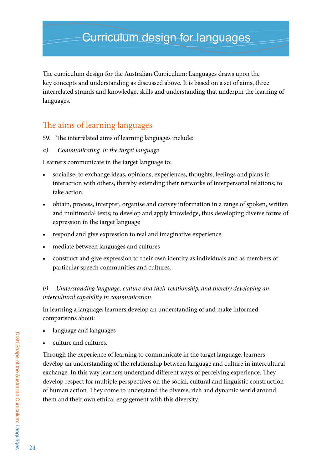The curriculum design for the Australian Curriculum: Languages draws upon the key concepts and understanding as discussed above. It is based on a set of aims, three interrelated strands and knowledge, skills and understanding that underpin the learning of languages.

## The aims of learning languages

59. The interrelated aims of learning languages include:

*a) Communicating in the target language* 

Learners communicate in the target language to:

- socialise; to exchange ideas, opinions, experiences, thoughts, feelings and plans in interaction with others, thereby extending their networks of interpersonal relations; to take action
- obtain, process, interpret, organise and convey information in a range of spoken, written and multimodal texts; to develop and apply knowledge, thus developing diverse forms of expression in the target language
- respond and give expression to real and imaginative experience
- mediate between languages and cultures
- construct and give expression to their own identity as individuals and as members of particular speech communities and cultures.

### *b) Understanding language, culture and their relationship, and thereby developing an intercultural capability in communication*

In learning a language, learners develop an understanding of and make informed comparisons about:

- language and languages
- culture and cultures.

Through the experience of learning to communicate in the target language, learners develop an understanding of the relationship between language and culture in intercultural exchange. In this way learners understand different ways of perceiving experience. They develop respect for multiple perspectives on the social, cultural and linguistic construction of human action. They come to understand the diverse, rich and dynamic world around them and their own ethical engagement with this diversity.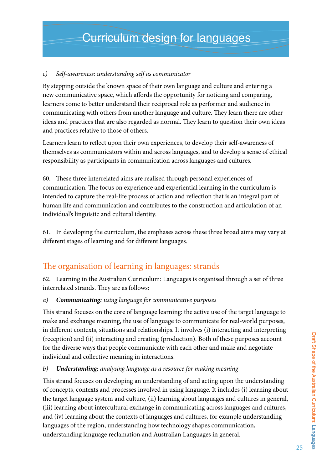### *c) Self-awareness: understanding self as communicator*

By stepping outside the known space of their own language and culture and entering a new communicative space, which affords the opportunity for noticing and comparing, learners come to better understand their reciprocal role as performer and audience in communicating with others from another language and culture. They learn there are other ideas and practices that are also regarded as normal. They learn to question their own ideas and practices relative to those of others.

Learners learn to reflect upon their own experiences, to develop their self-awareness of themselves as communicators within and across languages, and to develop a sense of ethical responsibility as participants in communication across languages and cultures.

60. These three interrelated aims are realised through personal experiences of communication. The focus on experience and experiential learning in the curriculum is intended to capture the real-life process of action and reflection that is an integral part of human life and communication and contributes to the construction and articulation of an individual's linguistic and cultural identity.

61. In developing the curriculum, the emphases across these three broad aims may vary at different stages of learning and for different languages.

## The organisation of learning in languages: strands

62. Learning in the Australian Curriculum: Languages is organised through a set of three interrelated strands. They are as follows:

### *a) Communicating: using language for communicative purposes*

This strand focuses on the core of language learning: the active use of the target language to make and exchange meaning, the use of language to communicate for real-world purposes, in different contexts, situations and relationships. It involves (i) interacting and interpreting (reception) and (ii) interacting and creating (production). Both of these purposes account for the diverse ways that people communicate with each other and make and negotiate individual and collective meaning in interactions.

### *b) Understanding: analysing language as a resource for making meaning*

This strand focuses on developing an understanding of and acting upon the understanding of concepts, contexts and processes involved in using language. It includes (i) learning about the target language system and culture, (ii) learning about languages and cultures in general, (iii) learning about intercultural exchange in communicating across languages and cultures, and (iv) learning about the contexts of languages and cultures, for example understanding languages of the region, understanding how technology shapes communication, understanding language reclamation and Australian Languages in general.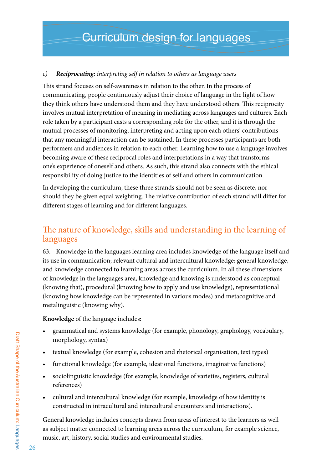### *c) Reciprocating: interpreting self in relation to others as language users*

This strand focuses on self-awareness in relation to the other. In the process of communicating, people continuously adjust their choice of language in the light of how they think others have understood them and they have understood others. This reciprocity involves mutual interpretation of meaning in mediating across languages and cultures. Each role taken by a participant casts a corresponding role for the other, and it is through the mutual processes of monitoring, interpreting and acting upon each others' contributions that any meaningful interaction can be sustained. In these processes participants are both performers and audiences in relation to each other. Learning how to use a language involves becoming aware of these reciprocal roles and interpretations in a way that transforms one's experience of oneself and others. As such, this strand also connects with the ethical responsibility of doing justice to the identities of self and others in communication.

In developing the curriculum, these three strands should not be seen as discrete, nor should they be given equal weighting. The relative contribution of each strand will differ for different stages of learning and for different languages.

## The nature of knowledge, skills and understanding in the learning of languages

63. Knowledge in the languages learning area includes knowledge of the language itself and its use in communication; relevant cultural and intercultural knowledge; general knowledge, and knowledge connected to learning areas across the curriculum. In all these dimensions of knowledge in the languages area, knowledge and knowing is understood as conceptual (knowing that), procedural (knowing how to apply and use knowledge), representational (knowing how knowledge can be represented in various modes) and metacognitive and metalinguistic (knowing why).

**Knowledge** of the language includes:

- grammatical and systems knowledge (for example, phonology, graphology, vocabulary, morphology, syntax)
- textual knowledge (for example, cohesion and rhetorical organisation, text types)
- functional knowledge (for example, ideational functions, imaginative functions)
- sociolinguistic knowledge (for example, knowledge of varieties, registers, cultural references)
- • cultural and intercultural knowledge (for example, knowledge of how identity is constructed in intracultural and intercultural encounters and interactions).

General knowledge includes concepts drawn from areas of interest to the learners as well as subject matter connected to learning areas across the curriculum, for example science, music, art, history, social studies and environmental studies.

26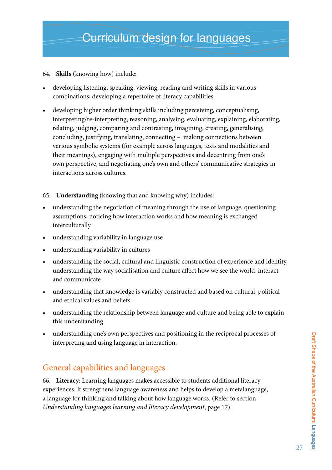### 64. **Skills** (knowing how) include:

- developing listening, speaking, viewing, reading and writing skills in various combinations; developing a repertoire of literacy capabilities
- • developing higher order thinking skills including perceiving, conceptualising, interpreting/re-interpreting, reasoning, analysing, evaluating, explaining, elaborating, relating, judging, comparing and contrasting, imagining, creating, generalising, concluding, justifying, translating, connecting – making connections between various symbolic systems (for example across languages, texts and modalities and their meanings), engaging with multiple perspectives and decentring from one's own perspective, and negotiating one's own and others' communicative strategies in interactions across cultures.
- 65. **Understanding** (knowing that and knowing why) includes:
- understanding the negotiation of meaning through the use of language, questioning assumptions, noticing how interaction works and how meaning is exchanged interculturally
- • understanding variability in language use
- • understanding variability in cultures
- understanding the social, cultural and linguistic construction of experience and identity, understanding the way socialisation and culture affect how we see the world, interact and communicate
- understanding that knowledge is variably constructed and based on cultural, political and ethical values and beliefs
- understanding the relationship between language and culture and being able to explain this understanding
- understanding one's own perspectives and positioning in the reciprocal processes of interpreting and using language in interaction.

## General capabilities and languages

66. **Literacy**: Learning languages makes accessible to students additional literacy experiences. It strengthens language awareness and helps to develop a metalanguage, a language for thinking and talking about how language works. (Refer to section *Understanding languages learning and literacy development*, page 17).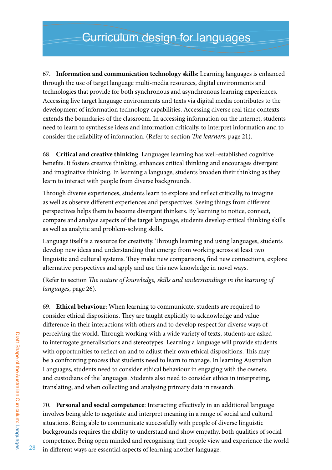67. **Information and communication technology skills**: Learning languages is enhanced through the use of target language multi-media resources, digital environments and technologies that provide for both synchronous and asynchronous learning experiences. Accessing live target language environments and texts via digital media contributes to the development of information technology capabilities. Accessing diverse real time contexts extends the boundaries of the classroom. In accessing information on the internet, students need to learn to synthesise ideas and information critically, to interpret information and to consider the reliability of information. (Refer to section *The learners*, page 21).

68. **Critical and creative thinking**: Languages learning has well-established cognitive benefits. It fosters creative thinking, enhances critical thinking and encourages divergent and imaginative thinking. In learning a language, students broaden their thinking as they learn to interact with people from diverse backgrounds.

Through diverse experiences, students learn to explore and reflect critically, to imagine as well as observe different experiences and perspectives. Seeing things from different perspectives helps them to become divergent thinkers. By learning to notice, connect, compare and analyse aspects of the target language, students develop critical thinking skills as well as analytic and problem-solving skills.

Language itself is a resource for creativity. Through learning and using languages, students develop new ideas and understanding that emerge from working across at least two linguistic and cultural systems. They make new comparisons, find new connections, explore alternative perspectives and apply and use this new knowledge in novel ways.

(Refer to section *The nature of knowledge, skills and understandings in the learning of languages*, page 26).

69. **Ethical behaviour**: When learning to communicate, students are required to consider ethical dispositions. They are taught explicitly to acknowledge and value difference in their interactions with others and to develop respect for diverse ways of perceiving the world. Through working with a wide variety of texts, students are asked to interrogate generalisations and stereotypes. Learning a language will provide students with opportunities to reflect on and to adjust their own ethical dispositions. This may be a confronting process that students need to learn to manage. In learning Australian Languages, students need to consider ethical behaviour in engaging with the owners and custodians of the languages. Students also need to consider ethics in interpreting, translating, and when collecting and analysing primary data in research.

70. **Personal and social competence**: Interacting effectively in an additional language involves being able to negotiate and interpret meaning in a range of social and cultural situations. Being able to communicate successfully with people of diverse linguistic backgrounds requires the ability to understand and show empathy, both qualities of social competence. Being open minded and recognising that people view and experience the world in different ways are essential aspects of learning another language.

28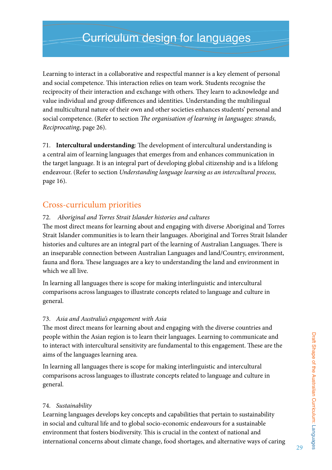Learning to interact in a collaborative and respectful manner is a key element of personal and social competence. This interaction relies on team work. Students recognise the reciprocity of their interaction and exchange with others. They learn to acknowledge and value individual and group differences and identities. Understanding the multilingual and multicultural nature of their own and other societies enhances students' personal and social competence. (Refer to section *The organisation of learning in languages: strands, Reciprocating*, page 26).

71. **Intercultural understanding**: The development of intercultural understanding is a central aim of learning languages that emerges from and enhances communication in the target language. It is an integral part of developing global citizenship and is a lifelong endeavour. (Refer to section *Understanding language learning as an intercultural process,*  page 16).

### Cross-curriculum priorities

### 72. *Aboriginal and Torres Strait Islander histories and cultures*

The most direct means for learning about and engaging with diverse Aboriginal and Torres Strait Islander communities is to learn their languages. Aboriginal and Torres Strait Islander histories and cultures are an integral part of the learning of Australian Languages. There is an inseparable connection between Australian Languages and land/Country, environment, fauna and flora. These languages are a key to understanding the land and environment in which we all live.

In learning all languages there is scope for making interlinguistic and intercultural comparisons across languages to illustrate concepts related to language and culture in general.

#### 73. *Asia and Australia's engagement with Asia*

The most direct means for learning about and engaging with the diverse countries and people within the Asian region is to learn their languages. Learning to communicate and to interact with intercultural sensitivity are fundamental to this engagement. These are the aims of the languages learning area.

In learning all languages there is scope for making interlinguistic and intercultural comparisons across languages to illustrate concepts related to language and culture in general.

#### 74. *Sustainability*

Learning languages develops key concepts and capabilities that pertain to sustainability in social and cultural life and to global socio-economic endeavours for a sustainable environment that fosters biodiversity. This is crucial in the context of national and international concerns about climate change, food shortages, and alternative ways of caring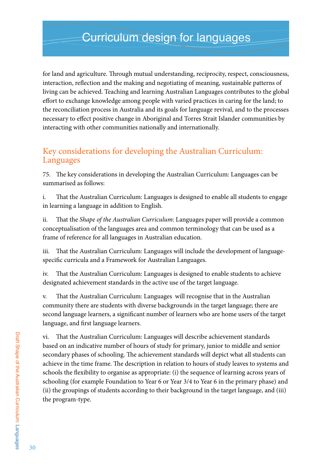for land and agriculture. Through mutual understanding, reciprocity, respect, consciousness, interaction, reflection and the making and negotiating of meaning, sustainable patterns of living can be achieved. Teaching and learning Australian Languages contributes to the global effort to exchange knowledge among people with varied practices in caring for the land; to the reconciliation process in Australia and its goals for language revival, and to the processes necessary to effect positive change in Aboriginal and Torres Strait Islander communities by interacting with other communities nationally and internationally.

## Key considerations for developing the Australian Curriculum: Languages

75. The key considerations in developing the Australian Curriculum: Languages can be summarised as follows:

i. That the Australian Curriculum: Languages is designed to enable all students to engage in learning a language in addition to English.

ii. That the *Shape of the Australian Curriculum*: Languages paper will provide a common conceptualisation of the languages area and common terminology that can be used as a frame of reference for all languages in Australian education.

iii. That the Australian Curriculum: Languages will include the development of languagespecific curricula and a Framework for Australian Languages.

iv. That the Australian Curriculum: Languages is designed to enable students to achieve designated achievement standards in the active use of the target language.

v. That the Australian Curriculum: Languages will recognise that in the Australian community there are students with diverse backgrounds in the target language; there are second language learners, a significant number of learners who are home users of the target language, and first language learners.

vi. That the Australian Curriculum: Languages will describe achievement standards based on an indicative number of hours of study for primary, junior to middle and senior secondary phases of schooling. The achievement standards will depict what all students can achieve in the time frame. The description in relation to hours of study leaves to systems and schools the flexibility to organise as appropriate: (i) the sequence of learning across years of schooling (for example Foundation to Year 6 or Year 3/4 to Year 6 in the primary phase) and (ii) the groupings of students according to their background in the target language, and (iii) the program-type.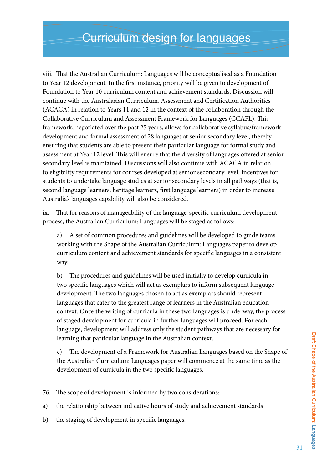viii. That the Australian Curriculum: Languages will be conceptualised as a Foundation to Year 12 development. In the first instance, priority will be given to development of Foundation to Year 10 curriculum content and achievement standards. Discussion will continue with the Australasian Curriculum, Assessment and Certification Authorities (ACACA) in relation to Years 11 and 12 in the context of the collaboration through the Collaborative Curriculum and Assessment Framework for Languages (CCAFL). This framework, negotiated over the past 25 years, allows for collaborative syllabus/framework development and formal assessment of 28 languages at senior secondary level, thereby ensuring that students are able to present their particular language for formal study and assessment at Year 12 level. This will ensure that the diversity of languages offered at senior secondary level is maintained. Discussions will also continue with ACACA in relation to eligibility requirements for courses developed at senior secondary level. Incentives for students to undertake language studies at senior secondary levels in all pathways (that is, second language learners, heritage learners, first language learners) in order to increase Australia's languages capability will also be considered.

ix. That for reasons of manageability of the language-specific curriculum development process, the Australian Curriculum: Languages will be staged as follows:

a) A set of common procedures and guidelines will be developed to guide teams working with the Shape of the Australian Curriculum: Languages paper to develop curriculum content and achievement standards for specific languages in a consistent way.

b) The procedures and guidelines will be used initially to develop curricula in two specific languages which will act as exemplars to inform subsequent language development. The two languages chosen to act as exemplars should represent languages that cater to the greatest range of learners in the Australian education context. Once the writing of curricula in these two languages is underway, the process of staged development for curricula in further languages will proceed. For each language, development will address only the student pathways that are necessary for learning that particular language in the Australian context.

c) The development of a Framework for Australian Languages based on the Shape of the Australian Curriculum: Languages paper will commence at the same time as the development of curricula in the two specific languages.

76. The scope of development is informed by two considerations:

a) the relationship between indicative hours of study and achievement standards

b) the staging of development in specific languages.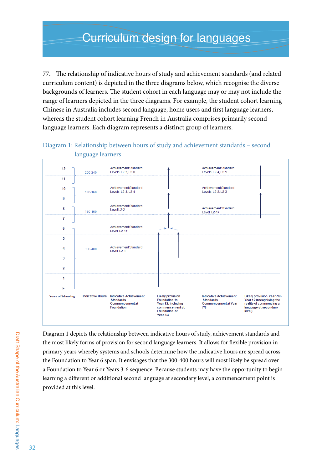77. The relationship of indicative hours of study and achievement standards (and related curriculum content) is depicted in the three diagrams below, which recognise the diverse backgrounds of learners. The student cohort in each language may or may not include the range of learners depicted in the three diagrams. For example, the student cohort learning Chinese in Australia includes second language, home users and first language learners, whereas the student cohort learning French in Australia comprises primarily second language learners. Each diagram represents a distinct group of learners.



Diagram 1: Relationship between hours of study and achievement standards – second language learners

Diagram 1 depicts the relationship between indicative hours of study, achievement standards and the most likely forms of provision for second language learners. It allows for flexible provision in primary years whereby systems and schools determine how the indicative hours are spread across the Foundation to Year 6 span. It envisages that the 300-400 hours will most likely be spread over a Foundation to Year 6 or Years 3-6 sequence. Because students may have the opportunity to begin learning a different or additional second language at secondary level, a commencement point is provided at this level.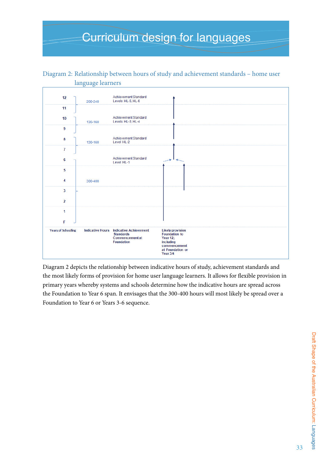#### language learners Achievement Standard  $12$ 200-240 Levels HL-5, HL-6  $11$ Achievement Standard  $10$ 130-160 Levels HL-3 HL-4  $\overline{9}$ Achievement Standard 8 130-160 Level HL-2  $\overline{1}$ Achievement Standard  $6\phantom{a}$ Level HL-1  $\overline{5}$  $\overline{\mathbf{4}}$ 300-400  $\overline{3}$  $\overline{a}$  $\overline{1}$ F **Likely provision**<br>Foundation to **Years of Schooling Indicative Hours Indicative Achievement Standards** Commencement at Year 12; Foundation including commencement<br>at Foundation or Year 3/4

# Diagram 2: Relationship between hours of study and achievement standards – home user

Diagram 2 depicts the relationship between indicative hours of study, achievement standards and the most likely forms of provision for home user language learners. It allows for flexible provision in primary years whereby systems and schools determine how the indicative hours are spread across the Foundation to Year 6 span. It envisages that the 300-400 hours will most likely be spread over a Foundation to Year 6 or Years 3-6 sequence.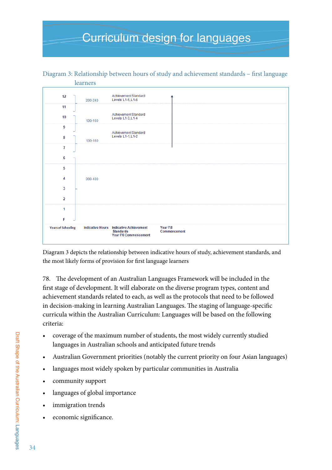

Diagram 3: Relationship between hours of study and achievement standards – first language learners

Diagram 3 depicts the relationship between indicative hours of study, achievement standards, and the most likely forms of provision for first language learners

78. The development of an Australian Languages Framework will be included in the first stage of development. It will elaborate on the diverse program types, content and achievement standards related to each, as well as the protocols that need to be followed in decision-making in learning Australian Languages. The staging of language-specific curricula within the Australian Curriculum: Languages will be based on the following criteria:

- • coverage of the maximum number of students, the most widely currently studied languages in Australian schools and anticipated future trends
- Australian Government priorities (notably the current priority on four Asian languages)
- languages most widely spoken by particular communities in Australia
- • community support
- languages of global importance
- immigration trends
- economic significance.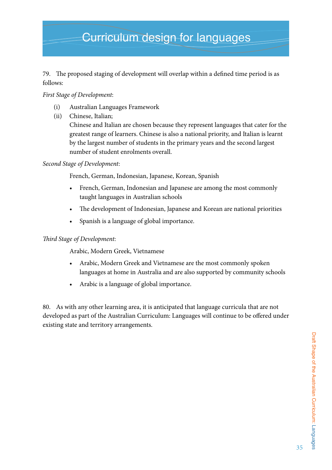### 79. The proposed staging of development will overlap within a defined time period is as follows:

### *First Stage of Development*:

- (i) Australian Languages Framework
- (ii) Chinese, Italian;

Chinese and Italian are chosen because they represent languages that cater for the greatest range of learners. Chinese is also a national priority, and Italian is learnt by the largest number of students in the primary years and the second largest number of student enrolments overall.

### *Second Stage of Development*:

French, German, Indonesian, Japanese, Korean, Spanish

- French, German, Indonesian and Japanese are among the most commonly taught languages in Australian schools
- The development of Indonesian, Japanese and Korean are national priorities
- Spanish is a language of global importance.

#### *Third Stage of Development*:

Arabic, Modern Greek, Vietnamese

- Arabic, Modern Greek and Vietnamese are the most commonly spoken languages at home in Australia and are also supported by community schools
- • Arabic is a language of global importance.

80. As with any other learning area, it is anticipated that language curricula that are not developed as part of the Australian Curriculum: Languages will continue to be offered under existing state and territory arrangements.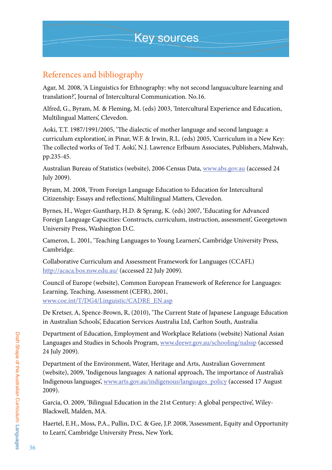## References and bibliography

Agar, M. 2008, 'A Linguistics for Ethnography: why not second languaculture learning and translation?', Journal of Intercultural Communication. No.16.

Alfred, G., Byram, M. & Fleming, M. (eds) 2003, 'Intercultural Experience and Education, Multilingual Matters', Clevedon.

Aoki, T.T. 1987/1991/2005, 'The dialectic of mother language and second language: a curriculum exploration', in Pinar, W.F. & Irwin, R.L. (eds) 2005, 'Curriculum in a New Key: The collected works of Ted T. Aoki', N.J. Lawrence Erlbaum Associates, Publishers, Mahwah, pp.235-45.

Australian Bureau of Statistics (website), 2006 Census Data, www.abs.gov.au (accessed 24 July 2009).

Byram, M. 2008, 'From Foreign Language Education to Education for Intercultural Citizenship: Essays and reflections', Multilingual Matters, Clevedon.

Byrnes, H., Weger-Guntharp, H.D. & Sprang, K. (eds) 2007, 'Educating for Advanced Foreign Language Capacities: Constructs, curriculum, instruction, assessment', Georgetown University Press, Washington D.C.

Cameron, L. 2001, 'Teaching Languages to Young Learners', Cambridge University Press, Cambridge.

Collaborative Curriculum and Assessment Framework for Languages (CCAFL) http://acaca.bos.nsw.edu.au/ (accessed 22 July 2009).

Council of Europe (website), Common European Framework of Reference for Languages: Learning, Teaching, Assessment (CEFR), 2001, www.coe.int/T/DG4/Linguistic/CADRE\_EN.asp

De Kretser, A, Spence-Brown, R, (2010), 'The Current State of Japanese Language Education in Australian Schools', Education Services Australia Ltd, Carlton South, Australia

Department of Education, Employment and Workplace Relations (website) National Asian Languages and Studies in Schools Program, www.deewr.gov.au/schooling/nalssp (accessed 24 July 2009).

Department of the Environment, Water, Heritage and Arts, Australian Government (website), 2009, 'Indigenous languages: A national approach, The importance of Australia's Indigenous languages', www.arts.gov.au/indigenous/languages\_policy (accessed 17 August 2009).

Garcia, O. 2009, 'Bilingual Education in the 21st Century: A global perspective', Wiley-Blackwell, Malden, MA.

Haertel, E.H., Moss, P.A., Pullin, D.C. & Gee, J.P. 2008, 'Assessment, Equity and Opportunity to Learn', Cambridge University Press, New York.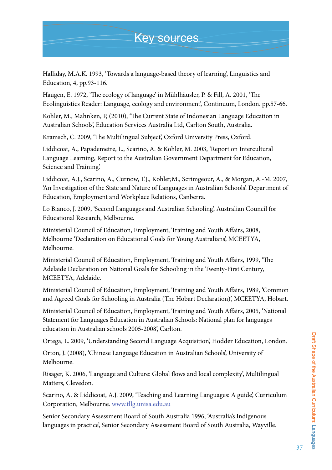## Key sources

Halliday, M.A.K. 1993, 'Towards a language-based theory of learning', Linguistics and Education, 4, pp.93-116.

Haugen, E. 1972, 'The ecology of language' in Mühlhäusler, P. & Fill, A. 2001, 'The Ecolinguistics Reader: Language, ecology and environment', Continuum, London. pp.57-66.

Kohler, M., Mahnken, P, (2010), 'The Current State of Indonesian Language Education in Australian Schools', Education Services Australia Ltd, Carlton South, Australia.

Kramsch, C. 2009, 'The Multilingual Subject', Oxford University Press, Oxford.

Liddicoat, A., Papademetre, L., Scarino, A. & Kohler, M. 2003, 'Report on Intercultural Language Learning, Report to the Australian Government Department for Education, Science and Training'.

Liddicoat, A.J., Scarino, A., Curnow, T.J., Kohler,M., Scrimgeour, A., & Morgan, A.-M. 2007, 'An Investigation of the State and Nature of Languages in Australian Schools'. Department of Education, Employment and Workplace Relations, Canberra.

Lo Bianco, J. 2009, 'Second Languages and Australian Schooling', Australian Council for Educational Research, Melbourne.

Ministerial Council of Education, Employment, Training and Youth Affairs, 2008, Melbourne 'Declaration on Educational Goals for Young Australians', MCEETYA, Melbourne.

Ministerial Council of Education, Employment, Training and Youth Affairs, 1999, 'The Adelaide Declaration on National Goals for Schooling in the Twenty-First Century, MCEETYA, Adelaide.

Ministerial Council of Education, Employment, Training and Youth Affairs, 1989, 'Common and Agreed Goals for Schooling in Australia (The Hobart Declaration)', MCEETYA, Hobart.

Ministerial Council of Education, Employment, Training and Youth Affairs, 2005, 'National Statement for Languages Education in Australian Schools: National plan for languages education in Australian schools 2005-2008', Carlton.

Ortega, L. 2009, 'Understanding Second Language Acquisition', Hodder Education, London.

Orton, J. (2008), 'Chinese Language Education in Australian Schools', University of Melbourne.

Risager, K. 2006, 'Language and Culture: Global flows and local complexity', Multilingual Matters, Clevedon.

Scarino, A. & Liddicoat, A.J. 2009, 'Teaching and Learning Languages: A guide', Curriculum Corporation, Melbourne. www.tllg.unisa.edu.au

Senior Secondary Assessment Board of South Australia 1996, 'Australia's Indigenous languages in practice', Senior Secondary Assessment Board of South Australia, Wayville.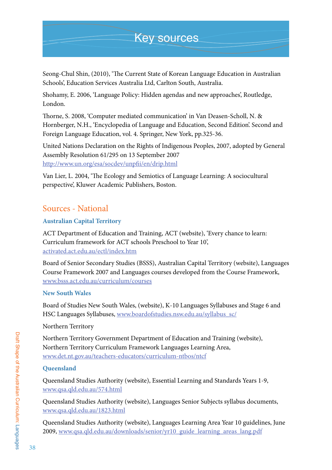## Key sources

Seong-Chul Shin, (2010), 'The Current State of Korean Language Education in Australian Schools', Education Services Australia Ltd, Carlton South, Australia.

Shohamy, E. 2006, 'Language Policy: Hidden agendas and new approaches', Routledge, London.

Thorne, S. 2008, 'Computer mediated communication' in Van Deasen-Scholl, N. & Hornberger, N.H., 'Encyclopedia of Language and Education, Second Edition'. Second and Foreign Language Education, vol. 4. Springer, New York, pp.325-36.

United Nations Declaration on the Rights of Indigenous Peoples, 2007, adopted by General Assembly Resolution 61/295 on 13 September 2007 http://www.un.org/esa/socdev/unpfii/en/drip.html

Van Lier, L. 2004, 'The Ecology and Semiotics of Language Learning: A sociocultural perspective', Kluwer Academic Publishers, Boston.

## Sources - National

### **Australian Capital Territory**

ACT Department of Education and Training, ACT (website), 'Every chance to learn: Curriculum framework for ACT schools Preschool to Year 10', activated.act.edu.au/ectl/index.htm

Board of Senior Secondary Studies (BSSS), Australian Capital Territory (website), Languages Course Framework 2007 and Languages courses developed from the Course Framework, www.bsss.act.edu.au/curriculum/courses

### **New South Wales**

Board of Studies New South Wales, (website), K-10 Languages Syllabuses and Stage 6 and HSC Languages Syllabuses, www.boardofstudies.nsw.edu.au/syllabus\_sc/

Northern Territory

Northern Territory Government Department of Education and Training (website), Northern Territory Curriculum Framework Languages Learning Area, www.det.nt.gov.au/teachers-educators/curriculum-ntbos/ntcf

### **Queensland**

Queensland Studies Authority (website), Essential Learning and Standards Years 1-9, www.qsa.qld.edu.au/574.html

Queensland Studies Authority (website), Languages Senior Subjects syllabus documents, www.qsa.qld.edu.au/1823.html

Queensland Studies Authority (website), Languages Learning Area Year 10 guidelines, June 2009, www.qsa.qld.edu.au/downloads/senior/yr10\_guide\_learning\_areas\_lang.pdf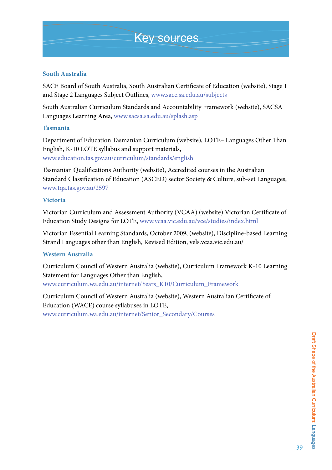#### **South Australia**

SACE Board of South Australia, South Australian Certificate of Education (website), Stage 1 and Stage 2 Languages Subject Outlines, www.sace.sa.edu.au/subjects

South Australian Curriculum Standards and Accountability Framework (website), SACSA Languages Learning Area, www.sacsa.sa.edu.au/splash.asp

#### **Tasmania**

Department of Education Tasmanian Curriculum (website), LOTE– Languages Other Than English, K-10 LOTE syllabus and support materials, www.education.tas.gov.au/curriculum/standards/english

Tasmanian Qualifications Authority (website), Accredited courses in the Australian Standard Classification of Education (ASCED) sector Society & Culture, sub-set Languages, www.tqa.tas.gov.au/2597

#### **Victoria**

Victorian Curriculum and Assessment Authority (VCAA) (website) Victorian Certificate of Education Study Designs for LOTE, www.vcaa.vic.edu.au/vce/studies/index.html

Victorian Essential Learning Standards, October 2009, (website), Discipline-based Learning Strand Languages other than English, Revised Edition, vels.vcaa.vic.edu.au/

#### **Western Australia**

Curriculum Council of Western Australia (website), Curriculum Framework K-10 Learning Statement for Languages Other than English, www.curriculum.wa.edu.au/internet/Years\_K10/Curriculum\_Framework

Curriculum Council of Western Australia (website), Western Australian Certificate of Education (WACE) course syllabuses in LOTE, www.curriculum.wa.edu.au/internet/Senior\_Secondary/Courses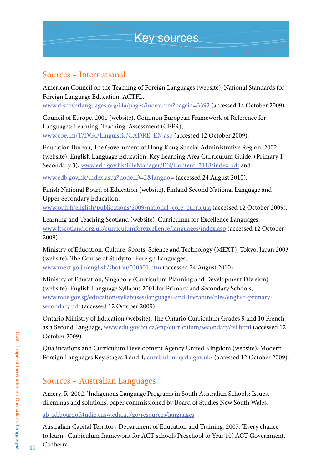## Sources – International

American Council on the Teaching of Foreign Languages (website), National Standards for Foreign Language Education, ACTFL,

www.discoverlanguages.org/i4a/pages/index.cfm?pageid=3392 (accessed 14 October 2009).

Council of Europe, 2001 (website), Common European Framework of Reference for Languages: Learning, Teaching, Assessment (CEFR), www.coe.int/T/DG4/Linguistic/CADRE\_EN.asp (accessed 12 October 2009).

Education Bureau, The Government of Hong Kong Special Administrative Region, 2002 (website), English Language Education, Key Learning Area Curriculum Guide, (Primary 1- Secondary 3), www.edb.gov.hk/FileManager/EN/Content\_3118/index.pdf and

www.edb.gov.hk/index.aspx?nodeID=2&langno= (accessed 24 August 2010).

Finish National Board of Education (website), Finland Second National Language and Upper Secondary Education,

www.oph.fi/english/publications/2009/national\_core\_curricula (accessed 12 October 2009).

Learning and Teaching Scotland (website), Curriculum for Excellence Languages, www.ltscotland.org.uk/curriculumforexcellence/languages/index.asp (accessed 12 October 2009).

Ministry of Education, Culture, Sports, Science and Technology (MEXT), Tokyo, Japan 2003 (website), The Course of Study for Foreign Languages, www.mext.go.jp/english/shotou/030301.htm (accessed 24 August 2010).

Ministry of Education, Singapore (Curriculum Planning and Development Division) (website), English Language Syllabus 2001 for Primary and Secondary Schools, www.moe.gov.sg/education/syllabuses/languages-and-literature/files/english-primarysecondary.pdf (accessed 12 October 2009).

Ontario Ministry of Education (website), The Ontario Curriculum Grades 9 and 10 French as a Second Language, www.edu.gov.on.ca/eng/curriculum/secondary/fsl.html (accessed 12 October 2009).

Qualifications and Curriculum Development Agency United Kingdom (website), Modern Foreign Languages Key Stages 3 and 4, curriculum.qcda.gov.uk/ (accessed 12 October 2009).

## Sources – Australian Languages

Amery, R. 2002, 'Indigenous Language Programs in South Australian Schools: Issues, dilemmas and solutions', paper commissioned by Board of Studies New South Wales,

ab-ed.boardofstudies.nsw.edu.au/go/resources/languages

Australian Capital Territory Department of Education and Training, 2007, 'Every chance to learn: Curriculum framework for ACT schools Preschool to Year 10', ACT Government, Canberra.

40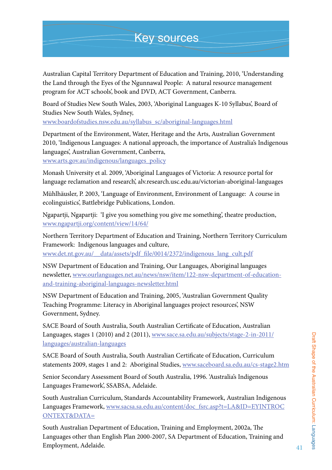Australian Capital Territory Department of Education and Training, 2010, 'Understanding the Land through the Eyes of the Ngunnawal People: A natural resource management program for ACT schools', book and DVD, ACT Government, Canberra.

Board of Studies New South Wales, 2003, 'Aboriginal Languages K-10 Syllabus', Board of Studies New South Wales, Sydney,

www.boardofstudies.nsw.edu.au/syllabus\_sc/aboriginal-languages.html

Department of the Environment, Water, Heritage and the Arts, Australian Government 2010, 'Indigenous Languages: A national approach, the importance of Australia's Indigenous languages', Australian Government, Canberra,

www.arts.gov.au/indigenous/languages\_policy

Monash University et al. 2009, 'Aboriginal Languages of Victoria: A resource portal for language reclamation and research', alv.research.usc.edu.au/victorian-aboriginal-languages

Mühlhäusler, P. 2003, 'Language of Environment, Environment of Language: A course in ecolinguistics', Battlebridge Publications, London.

Ngapartji, Ngapartji: 'I give you something you give me something', theatre production, www.ngapartji.org/content/view/14/64/

Northern Territory Department of Education and Training, Northern Territory Curriculum Framework: Indigenous languages and culture, www.det.nt.gov.au/\_\_data/assets/pdf\_file/0014/2372/indigenous\_lang\_cult.pdf

NSW Department of Education and Training, Our Languages, Aboriginal languages newsletter, www.ourlanguages.net.au/news/nsw/item/122-nsw-department-of-educationand-training-aboriginal-languages-newsletter.html

NSW Department of Education and Training, 2005, 'Australian Government Quality Teaching Programme: Literacy in Aboriginal languages project resources', NSW Government, Sydney.

SACE Board of South Australia, South Australian Certificate of Education, Australian Languages, stages 1 (2010) and 2 (2011), www.sace.sa.edu.au/subjects/stage-2-in-2011/ languages/australian-languages

SACE Board of South Australia, South Australian Certificate of Education, Curriculum statements 2009, stages 1 and 2: Aboriginal Studies, www.saceboard.sa.edu.au/cs-stage2.htm

Senior Secondary Assessment Board of South Australia, 1996. 'Australia's Indigenous Languages Framework', SSABSA, Adelaide.

South Australian Curriculum, Standards Accountability Framework, Australian Indigenous Languages Framework, www.sacsa.sa.edu.au/content/doc\_fsrc.asp?t=LA&ID=EYINTROC ONTEXT&DATA=

South Australian Department of Education, Training and Employment, 2002a, The Languages other than English Plan 2000-2007, SA Department of Education, Training and Employment, Adelaide.